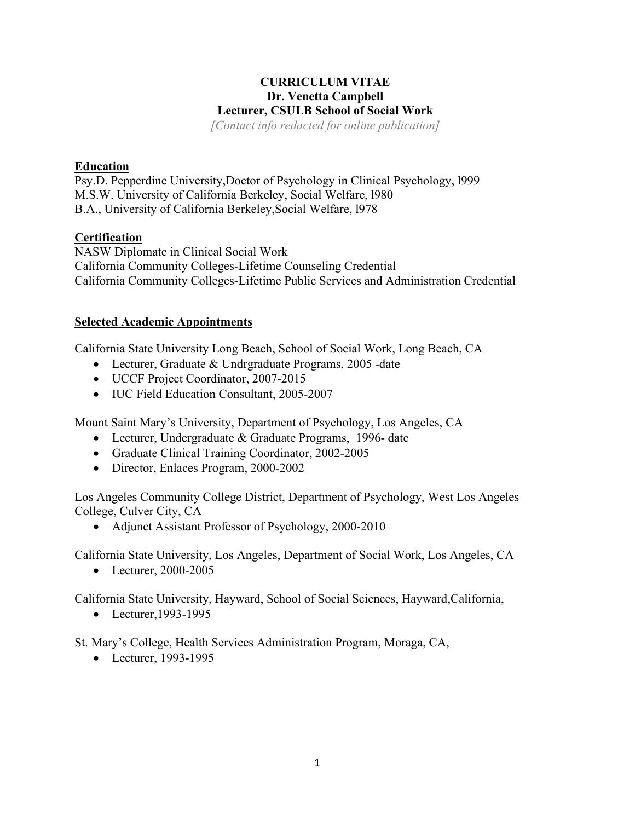# **CURRICULUM VITAE Dr. Venetta Campbell Lecturer, CSULB School of Social Work**

*[Contact info redacted for online publication]*

## **Education**

Psy.D. Pepperdine University,Doctor of Psychology in Clinical Psychology, l999 M.S.W. University of California Berkeley, Social Welfare, l980 B.A., University of California Berkeley,Social Welfare, l978

## **Certification**

NASW Diplomate in Clinical Social Work California Community Colleges-Lifetime Counseling Credential California Community Colleges-Lifetime Public Services and Administration Credential

### **Selected Academic Appointments**

California State University Long Beach, School of Social Work, Long Beach, CA

- Lecturer, Graduate & Undrgraduate Programs, 2005 -date
- UCCF Project Coordinator, 2007-2015
- IUC Field Education Consultant, 2005-2007

Mount Saint Mary's University, Department of Psychology, Los Angeles, CA

- Lecturer, Undergraduate & Graduate Programs, 1996- date
- Graduate Clinical Training Coordinator, 2002-2005
- Director, Enlaces Program, 2000-2002

Los Angeles Community College District, Department of Psychology, West Los Angeles College, Culver City, CA

• Adjunct Assistant Professor of Psychology, 2000-2010

California State University, Los Angeles, Department of Social Work, Los Angeles, CA

• Lecturer, 2000-2005

California State University, Hayward, School of Social Sciences, Hayward,California,

• Lecturer,1993-1995

St. Mary's College, Health Services Administration Program, Moraga, CA,

• Lecturer, 1993-1995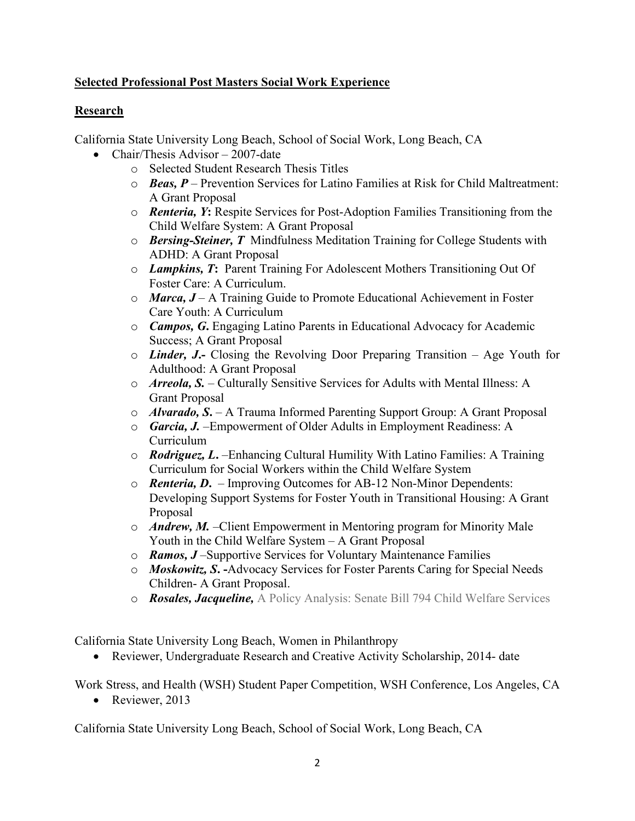# **Selected Professional Post Masters Social Work Experience**

# **Research**

California State University Long Beach, School of Social Work, Long Beach, CA

- Chair/Thesis Advisor 2007-date
	- o Selected Student Research Thesis Titles
	- o *Beas, P* Prevention Services for Latino Families at Risk for Child Maltreatment: A Grant Proposal
	- o *Renteria, Y***:** Respite Services for Post-Adoption Families Transitioning from the Child Welfare System: A Grant Proposal
	- o *Bersing-Steiner, T* Mindfulness Meditation Training for College Students with ADHD: A Grant Proposal
	- o *Lampkins, T***:** Parent Training For Adolescent Mothers Transitioning Out Of Foster Care: A Curriculum.
	- o *Marca, J* A Training Guide to Promote Educational Achievement in Foster Care Youth: A Curriculum
	- o *Campos, G***.** Engaging Latino Parents in Educational Advocacy for Academic Success; A Grant Proposal
	- o *Linder, J***.-** Closing the Revolving Door Preparing Transition Age Youth for Adulthood: A Grant Proposal
	- o *Arreola, S.* Culturally Sensitive Services for Adults with Mental Illness: A Grant Proposal
	- o *Alvarado, S***.**  A Trauma Informed Parenting Support Group: A Grant Proposal
	- o *Garcia, J.* –Empowerment of Older Adults in Employment Readiness: A Curriculum
	- o *Rodriguez, L***.** –Enhancing Cultural Humility With Latino Families: A Training Curriculum for Social Workers within the Child Welfare System
	- o *Renteria, D***.** Improving Outcomes for AB-12 Non-Minor Dependents: Developing Support Systems for Foster Youth in Transitional Housing: A Grant Proposal
	- o *Andrew, M.* –Client Empowerment in Mentoring program for Minority Male Youth in the Child Welfare System – A Grant Proposal
	- o *Ramos, J* –Supportive Services for Voluntary Maintenance Families
	- o *Moskowitz, S***. -**Advocacy Services for Foster Parents Caring for Special Needs Children- A Grant Proposal.
	- o *Rosales, Jacqueline,* A Policy Analysis: Senate Bill 794 Child Welfare Services

California State University Long Beach, Women in Philanthropy

• Reviewer, Undergraduate Research and Creative Activity Scholarship, 2014- date

Work Stress, and Health (WSH) Student Paper Competition, WSH Conference, Los Angeles, CA

• Reviewer, 2013

California State University Long Beach, School of Social Work, Long Beach, CA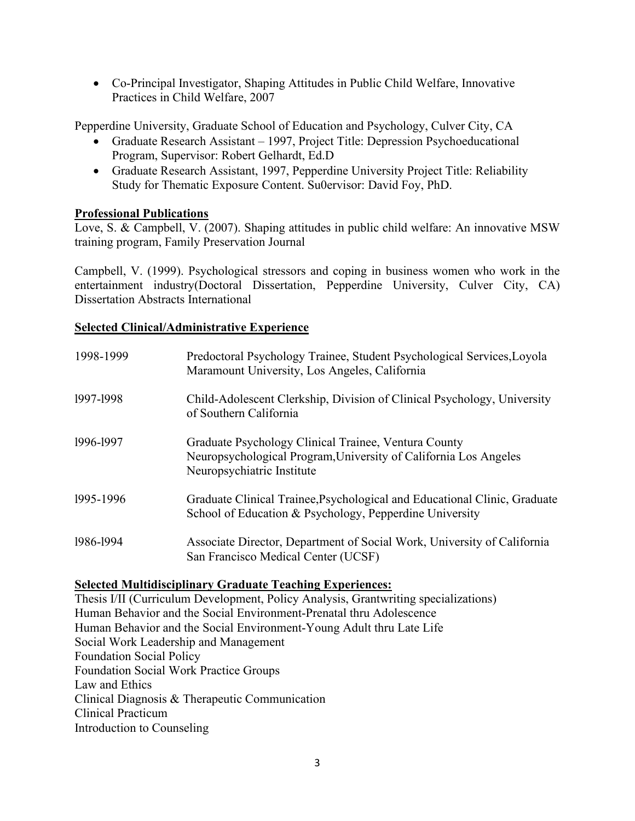• Co-Principal Investigator, Shaping Attitudes in Public Child Welfare, Innovative Practices in Child Welfare, 2007

Pepperdine University, Graduate School of Education and Psychology, Culver City, CA

- Graduate Research Assistant 1997, Project Title: Depression Psychoeducational Program, Supervisor: Robert Gelhardt, Ed.D
- Graduate Research Assistant, 1997, Pepperdine University Project Title: Reliability Study for Thematic Exposure Content. Su0ervisor: David Foy, PhD.

### **Professional Publications**

Love, S. & Campbell, V. (2007). Shaping attitudes in public child welfare: An innovative MSW training program, Family Preservation Journal

Campbell, V. (1999). Psychological stressors and coping in business women who work in the entertainment industry(Doctoral Dissertation, Pepperdine University, Culver City, CA) Dissertation Abstracts International

### **Selected Clinical/Administrative Experience**

| 1998-1999 | Predoctoral Psychology Trainee, Student Psychological Services, Loyola<br>Maramount University, Los Angeles, California                                |
|-----------|--------------------------------------------------------------------------------------------------------------------------------------------------------|
| 1997-1998 | Child-Adolescent Clerkship, Division of Clinical Psychology, University<br>of Southern California                                                      |
| 1996-1997 | Graduate Psychology Clinical Trainee, Ventura County<br>Neuropsychological Program, University of California Los Angeles<br>Neuropsychiatric Institute |
| 1995-1996 | Graduate Clinical Trainee, Psychological and Educational Clinic, Graduate<br>School of Education & Psychology, Pepperdine University                   |
| 1986-1994 | Associate Director, Department of Social Work, University of California<br>San Francisco Medical Center (UCSF)                                         |

# **Selected Multidisciplinary Graduate Teaching Experiences:**

Thesis I/II (Curriculum Development, Policy Analysis, Grantwriting specializations) Human Behavior and the Social Environment-Prenatal thru Adolescence Human Behavior and the Social Environment-Young Adult thru Late Life Social Work Leadership and Management Foundation Social Policy Foundation Social Work Practice Groups Law and Ethics Clinical Diagnosis & Therapeutic Communication Clinical Practicum Introduction to Counseling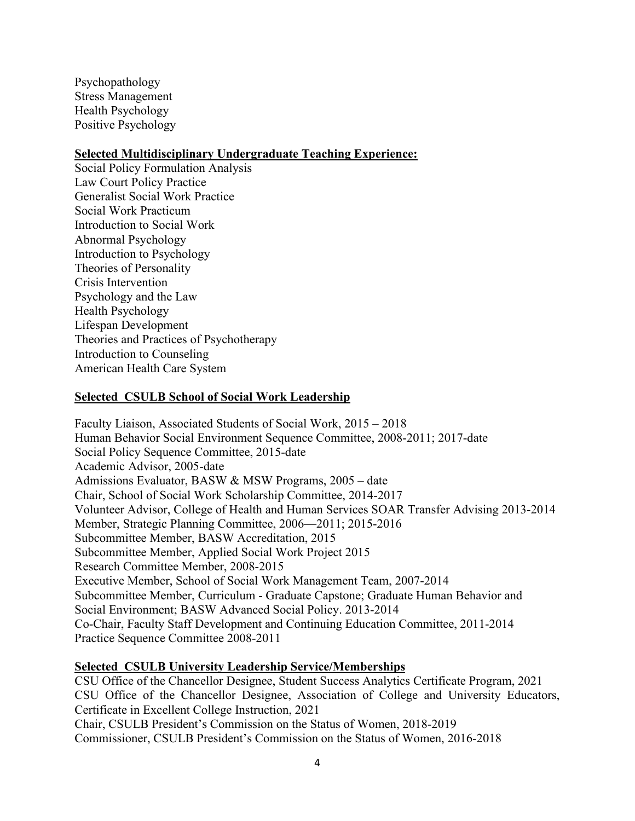Psychopathology Stress Management Health Psychology Positive Psychology

#### **Selected Multidisciplinary Undergraduate Teaching Experience:**

Social Policy Formulation Analysis Law Court Policy Practice Generalist Social Work Practice Social Work Practicum Introduction to Social Work Abnormal Psychology Introduction to Psychology Theories of Personality Crisis Intervention Psychology and the Law Health Psychology Lifespan Development Theories and Practices of Psychotherapy Introduction to Counseling American Health Care System

#### **Selected CSULB School of Social Work Leadership**

Faculty Liaison, Associated Students of Social Work, 2015 – 2018 Human Behavior Social Environment Sequence Committee, 2008-2011; 2017-date Social Policy Sequence Committee, 2015-date Academic Advisor, 2005-date Admissions Evaluator, BASW & MSW Programs, 2005 – date Chair, School of Social Work Scholarship Committee, 2014-2017 Volunteer Advisor, College of Health and Human Services SOAR Transfer Advising 2013-2014 Member, Strategic Planning Committee, 2006—2011; 2015-2016 Subcommittee Member, BASW Accreditation, 2015 Subcommittee Member, Applied Social Work Project 2015 Research Committee Member, 2008-2015 Executive Member, School of Social Work Management Team, 2007-2014 Subcommittee Member, Curriculum - Graduate Capstone; Graduate Human Behavior and Social Environment; BASW Advanced Social Policy. 2013-2014 Co-Chair, Faculty Staff Development and Continuing Education Committee, 2011-2014 Practice Sequence Committee 2008-2011

#### **Selected CSULB University Leadership Service/Memberships**

CSU Office of the Chancellor Designee, Student Success Analytics Certificate Program, 2021 CSU Office of the Chancellor Designee, Association of College and University Educators, Certificate in Excellent College Instruction, 2021 Chair, CSULB President's Commission on the Status of Women, 2018-2019 Commissioner, CSULB President's Commission on the Status of Women, 2016-2018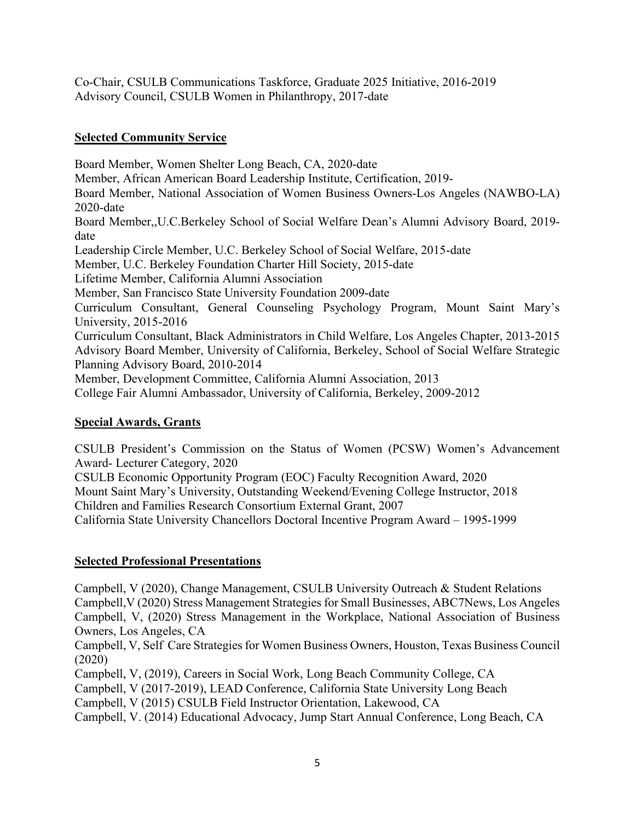Co-Chair, CSULB Communications Taskforce, Graduate 2025 Initiative, 2016-2019 Advisory Council, CSULB Women in Philanthropy, 2017-date

## **Selected Community Service**

Board Member, Women Shelter Long Beach, CA, 2020-date Member, African American Board Leadership Institute, Certification, 2019- Board Member, National Association of Women Business Owners-Los Angeles (NAWBO-LA) 2020-date Board Member,,U.C.Berkeley School of Social Welfare Dean's Alumni Advisory Board, 2019 date Leadership Circle Member, U.C. Berkeley School of Social Welfare, 2015-date Member, U.C. Berkeley Foundation Charter Hill Society, 2015-date Lifetime Member, California Alumni Association Member, San Francisco State University Foundation 2009-date Curriculum Consultant, General Counseling Psychology Program, Mount Saint Mary's University, 2015-2016 Curriculum Consultant, Black Administrators in Child Welfare, Los Angeles Chapter, 2013-2015 Advisory Board Member, University of California, Berkeley, School of Social Welfare Strategic Planning Advisory Board, 2010-2014 Member, Development Committee, California Alumni Association, 2013 College Fair Alumni Ambassador, University of California, Berkeley, 2009-2012

## **Special Awards, Grants**

CSULB President's Commission on the Status of Women (PCSW) Women's Advancement Award- Lecturer Category, 2020

CSULB Economic Opportunity Program (EOC) Faculty Recognition Award, 2020 Mount Saint Mary's University, Outstanding Weekend/Evening College Instructor, 2018 Children and Families Research Consortium External Grant, 2007 California State University Chancellors Doctoral Incentive Program Award – 1995-1999

# **Selected Professional Presentations**

Campbell, V (2020), Change Management, CSULB University Outreach & Student Relations Campbell,V (2020) Stress Management Strategies for Small Businesses, ABC7News, Los Angeles Campbell, V, (2020) Stress Management in the Workplace, National Association of Business Owners, Los Angeles, CA

Campbell, V, Self Care Strategies for Women Business Owners, Houston, Texas Business Council (2020)

Campbell, V, (2019), Careers in Social Work, Long Beach Community College, CA

Campbell, V (2017-2019), LEAD Conference, California State University Long Beach

Campbell, V (2015) CSULB Field Instructor Orientation, Lakewood, CA

Campbell, V. (2014) Educational Advocacy, Jump Start Annual Conference, Long Beach, CA